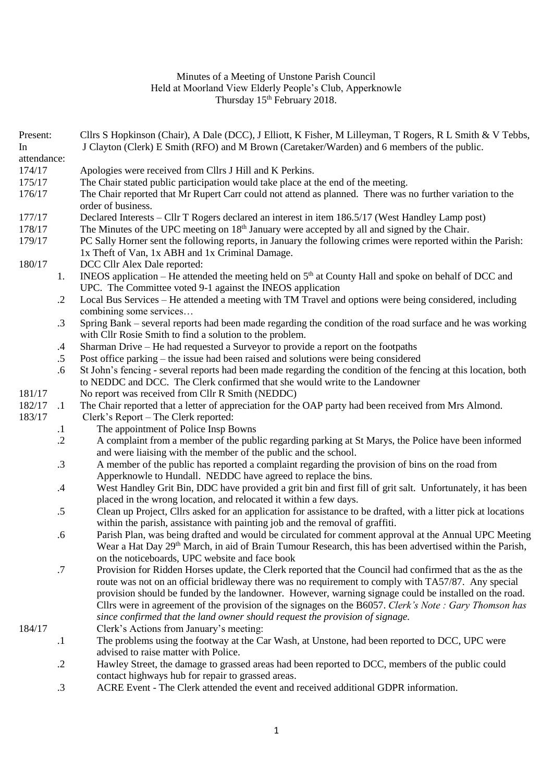## Minutes of a Meeting of Unstone Parish Council Held at Moorland View Elderly People's Club, Apperknowle Thursday 15<sup>th</sup> February 2018.

| Present:<br>In |            | Cllrs S Hopkinson (Chair), A Dale (DCC), J Elliott, K Fisher, M Lilleyman, T Rogers, R L Smith & V Tebbs,<br>J Clayton (Clerk) E Smith (RFO) and M Brown (Caretaker/Warden) and 6 members of the public. |
|----------------|------------|----------------------------------------------------------------------------------------------------------------------------------------------------------------------------------------------------------|
| attendance:    |            |                                                                                                                                                                                                          |
| 174/17         |            | Apologies were received from Cllrs J Hill and K Perkins.                                                                                                                                                 |
| 175/17         |            | The Chair stated public participation would take place at the end of the meeting.                                                                                                                        |
| 176/17         |            | The Chair reported that Mr Rupert Carr could not attend as planned. There was no further variation to the                                                                                                |
|                |            | order of business.                                                                                                                                                                                       |
| 177/17         |            | Declared Interests – Cllr T Rogers declared an interest in item 186.5/17 (West Handley Lamp post)                                                                                                        |
| 178/17         |            | The Minutes of the UPC meeting on 18 <sup>th</sup> January were accepted by all and signed by the Chair.                                                                                                 |
| 179/17         |            | PC Sally Horner sent the following reports, in January the following crimes were reported within the Parish:                                                                                             |
|                |            | 1x Theft of Van, 1x ABH and 1x Criminal Damage.                                                                                                                                                          |
| 180/17         |            | DCC Cllr Alex Dale reported:                                                                                                                                                                             |
|                | 1.         | INEOS application – He attended the meeting held on $5th$ at County Hall and spoke on behalf of DCC and                                                                                                  |
|                |            | UPC. The Committee voted 9-1 against the INEOS application                                                                                                                                               |
|                | $\cdot$ .2 | Local Bus Services - He attended a meeting with TM Travel and options were being considered, including                                                                                                   |
|                |            | combining some services                                                                                                                                                                                  |
|                | $\cdot$ 3  | Spring Bank – several reports had been made regarding the condition of the road surface and he was working                                                                                               |
|                |            | with Cllr Rosie Smith to find a solution to the problem.                                                                                                                                                 |
|                | $\cdot$ 4  | Sharman Drive – He had requested a Surveyor to provide a report on the footpaths                                                                                                                         |
|                | $.5\,$     | Post office parking – the issue had been raised and solutions were being considered                                                                                                                      |
|                | .6         | St John's fencing - several reports had been made regarding the condition of the fencing at this location, both                                                                                          |
|                |            | to NEDDC and DCC. The Clerk confirmed that she would write to the Landowner                                                                                                                              |
| 181/17         |            | No report was received from Cllr R Smith (NEDDC)                                                                                                                                                         |
| 182/17         | $\cdot$ 1  | The Chair reported that a letter of appreciation for the OAP party had been received from Mrs Almond.                                                                                                    |
| 183/17         |            | Clerk's Report - The Clerk reported:                                                                                                                                                                     |
|                | $\cdot$    | The appointment of Police Insp Bowns                                                                                                                                                                     |
|                | $\cdot$ .2 | A complaint from a member of the public regarding parking at St Marys, the Police have been informed                                                                                                     |
|                |            | and were liaising with the member of the public and the school.                                                                                                                                          |
|                | $\cdot$ 3  | A member of the public has reported a complaint regarding the provision of bins on the road from                                                                                                         |
|                |            | Apperknowle to Hundall. NEDDC have agreed to replace the bins.                                                                                                                                           |
|                | .4         | West Handley Grit Bin, DDC have provided a grit bin and first fill of grit salt. Unfortunately, it has been                                                                                              |
|                |            | placed in the wrong location, and relocated it within a few days.                                                                                                                                        |
|                | .5         | Clean up Project, Cllrs asked for an application for assistance to be drafted, with a litter pick at locations                                                                                           |
|                |            | within the parish, assistance with painting job and the removal of graffiti.                                                                                                                             |
|                | .6         | Parish Plan, was being drafted and would be circulated for comment approval at the Annual UPC Meeting                                                                                                    |
|                |            | Wear a Hat Day 29 <sup>th</sup> March, in aid of Brain Tumour Research, this has been advertised within the Parish,                                                                                      |
|                |            | on the noticeboards, UPC website and face book                                                                                                                                                           |
|                | .7         | Provision for Ridden Horses update, the Clerk reported that the Council had confirmed that as the as the                                                                                                 |
|                |            | route was not on an official bridleway there was no requirement to comply with TA57/87. Any special                                                                                                      |
|                |            | provision should be funded by the landowner. However, warning signage could be installed on the road.                                                                                                    |
|                |            | Cllrs were in agreement of the provision of the signages on the B6057. Clerk's Note: Gary Thomson has                                                                                                    |
|                |            | since confirmed that the land owner should request the provision of signage.                                                                                                                             |
| 184/17         |            | Clerk's Actions from January's meeting:                                                                                                                                                                  |
|                | $\cdot$    | The problems using the footway at the Car Wash, at Unstone, had been reported to DCC, UPC were                                                                                                           |
|                |            | advised to raise matter with Police.                                                                                                                                                                     |
|                | $\cdot$ .2 | Hawley Street, the damage to grassed areas had been reported to DCC, members of the public could                                                                                                         |
|                |            | contact highways hub for repair to grassed areas.                                                                                                                                                        |

.3 ACRE Event - The Clerk attended the event and received additional GDPR information.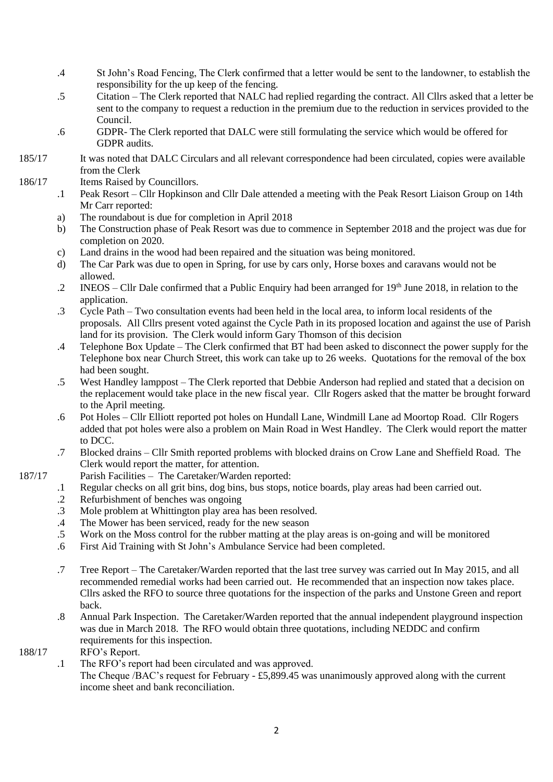- .4 St John's Road Fencing, The Clerk confirmed that a letter would be sent to the landowner, to establish the responsibility for the up keep of the fencing.
- .5 Citation – The Clerk reported that NALC had replied regarding the contract. All Cllrs asked that a letter be sent to the company to request a reduction in the premium due to the reduction in services provided to the Council.
- .6 GDPR- The Clerk reported that DALC were still formulating the service which would be offered for GDPR audits.
- 185/17 It was noted that DALC Circulars and all relevant correspondence had been circulated, copies were available from the Clerk
- 186/17 Items Raised by Councillors.
	- .1 Peak Resort – Cllr Hopkinson and Cllr Dale attended a meeting with the Peak Resort Liaison Group on 14th Mr Carr reported:
	- a) The roundabout is due for completion in April 2018
	- b) The Construction phase of Peak Resort was due to commence in September 2018 and the project was due for completion on 2020.
	- c) Land drains in the wood had been repaired and the situation was being monitored.
	- d) The Car Park was due to open in Spring, for use by cars only, Horse boxes and caravans would not be allowed.
	- .2 INEOS Cllr Dale confirmed that a Public Enquiry had been arranged for  $19<sup>th</sup>$  June 2018, in relation to the application.
	- .3 Cycle Path Two consultation events had been held in the local area, to inform local residents of the proposals. All Cllrs present voted against the Cycle Path in its proposed location and against the use of Parish land for its provision. The Clerk would inform Gary Thomson of this decision
	- .4 Telephone Box Update The Clerk confirmed that BT had been asked to disconnect the power supply for the Telephone box near Church Street, this work can take up to 26 weeks. Quotations for the removal of the box had been sought.
	- .5 West Handley lamppost The Clerk reported that Debbie Anderson had replied and stated that a decision on the replacement would take place in the new fiscal year. Cllr Rogers asked that the matter be brought forward to the April meeting.
	- .6 Pot Holes Cllr Elliott reported pot holes on Hundall Lane, Windmill Lane ad Moortop Road. Cllr Rogers added that pot holes were also a problem on Main Road in West Handley. The Clerk would report the matter to DCC.
	- .7 Blocked drains Cllr Smith reported problems with blocked drains on Crow Lane and Sheffield Road. The Clerk would report the matter, for attention.
	- Parish Facilities The Caretaker/Warden reported:
	- .1 Regular checks on all grit bins, dog bins, bus stops, notice boards, play areas had been carried out.
	- .2 Refurbishment of benches was ongoing
	- .3 Mole problem at Whittington play area has been resolved.
	- .4 The Mower has been serviced, ready for the new season
	- .5 Work on the Moss control for the rubber matting at the play areas is on-going and will be monitored
	- .6 First Aid Training with St John's Ambulance Service had been completed.
	- .7 Tree Report The Caretaker/Warden reported that the last tree survey was carried out In May 2015, and all recommended remedial works had been carried out. He recommended that an inspection now takes place. Cllrs asked the RFO to source three quotations for the inspection of the parks and Unstone Green and report back.
	- .8 Annual Park Inspection. The Caretaker/Warden reported that the annual independent playground inspection was due in March 2018. The RFO would obtain three quotations, including NEDDC and confirm requirements for this inspection.

## 188/17 RFO's Report.

187/17

.1 The RFO's report had been circulated and was approved.

The Cheque /BAC's request for February - £5,899.45 was unanimously approved along with the current income sheet and bank reconciliation.